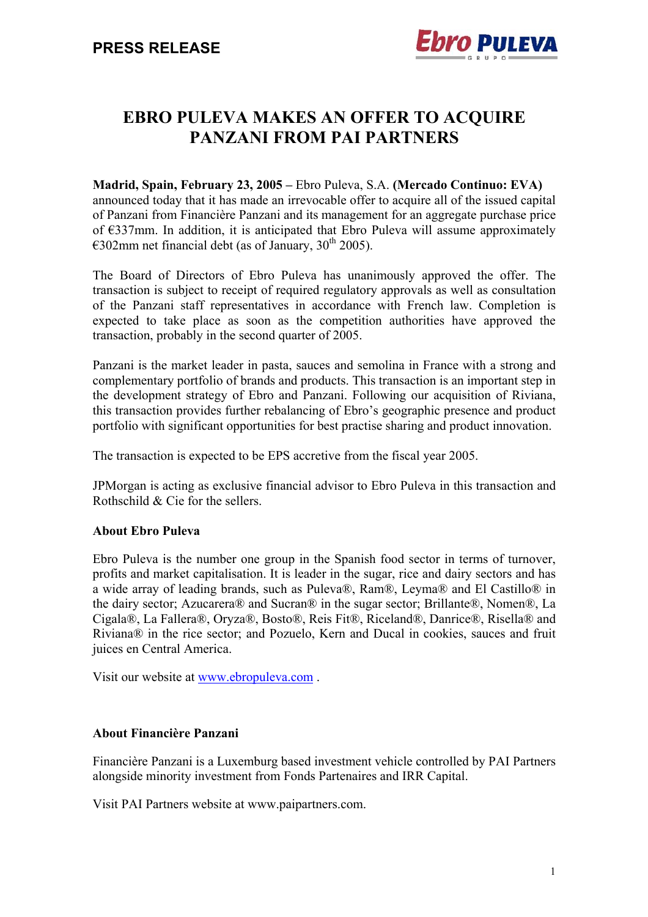

# **EBRO PULEVA MAKES AN OFFER TO ACQUIRE PANZANI FROM PAI PARTNERS**

**Madrid, Spain, February 23, 2005 –** Ebro Puleva, S.A. **(Mercado Continuo: EVA)** announced today that it has made an irrevocable offer to acquire all of the issued capital of Panzani from Financière Panzani and its management for an aggregate purchase price of €337mm. In addition, it is anticipated that Ebro Puleva will assume approximately  $\epsilon$ 302mm net financial debt (as of January, 30<sup>th</sup> 2005).

The Board of Directors of Ebro Puleva has unanimously approved the offer. The transaction is subject to receipt of required regulatory approvals as well as consultation of the Panzani staff representatives in accordance with French law. Completion is expected to take place as soon as the competition authorities have approved the transaction, probably in the second quarter of 2005.

Panzani is the market leader in pasta, sauces and semolina in France with a strong and complementary portfolio of brands and products. This transaction is an important step in the development strategy of Ebro and Panzani. Following our acquisition of Riviana, this transaction provides further rebalancing of Ebro's geographic presence and product portfolio with significant opportunities for best practise sharing and product innovation.

The transaction is expected to be EPS accretive from the fiscal year 2005.

JPMorgan is acting as exclusive financial advisor to Ebro Puleva in this transaction and Rothschild & Cie for the sellers.

### **About Ebro Puleva**

Ebro Puleva is the number one group in the Spanish food sector in terms of turnover, profits and market capitalisation. It is leader in the sugar, rice and dairy sectors and has a wide array of leading brands, such as Puleva®, Ram®, Leyma® and El Castillo® in the dairy sector; Azucarera® and Sucran® in the sugar sector; Brillante®, Nomen®, La Cigala®, La Fallera®, Oryza®, Bosto®, Reis Fit®, Riceland®, Danrice®, Risella® and Riviana® in the rice sector; and Pozuelo, Kern and Ducal in cookies, sauces and fruit juices en Central America.

Visit our website at www.ebropuleva.com .

#### **About Financière Panzani**

Financière Panzani is a Luxemburg based investment vehicle controlled by PAI Partners alongside minority investment from Fonds Partenaires and IRR Capital.

Visit PAI Partners website at www.paipartners.com.